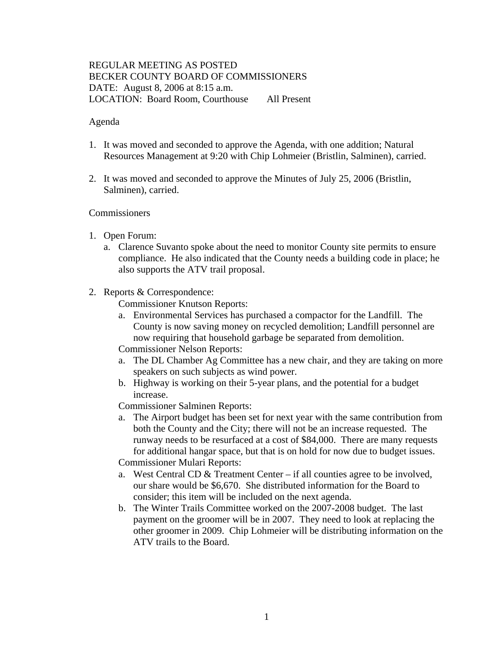# REGULAR MEETING AS POSTED BECKER COUNTY BOARD OF COMMISSIONERS DATE: August 8, 2006 at 8:15 a.m. LOCATION: Board Room, Courthouse All Present

### Agenda

- 1. It was moved and seconded to approve the Agenda, with one addition; Natural Resources Management at 9:20 with Chip Lohmeier (Bristlin, Salminen), carried.
- 2. It was moved and seconded to approve the Minutes of July 25, 2006 (Bristlin, Salminen), carried.

#### **Commissioners**

- 1. Open Forum:
	- a. Clarence Suvanto spoke about the need to monitor County site permits to ensure compliance. He also indicated that the County needs a building code in place; he also supports the ATV trail proposal.
- 2. Reports & Correspondence:

Commissioner Knutson Reports:

- a. Environmental Services has purchased a compactor for the Landfill. The County is now saving money on recycled demolition; Landfill personnel are now requiring that household garbage be separated from demolition.
- Commissioner Nelson Reports:
- a. The DL Chamber Ag Committee has a new chair, and they are taking on more speakers on such subjects as wind power.
- b. Highway is working on their 5-year plans, and the potential for a budget increase.

Commissioner Salminen Reports:

a. The Airport budget has been set for next year with the same contribution from both the County and the City; there will not be an increase requested. The runway needs to be resurfaced at a cost of \$84,000. There are many requests for additional hangar space, but that is on hold for now due to budget issues.

Commissioner Mulari Reports:

- a. West Central CD & Treatment Center if all counties agree to be involved, our share would be \$6,670. She distributed information for the Board to consider; this item will be included on the next agenda.
- b. The Winter Trails Committee worked on the 2007-2008 budget. The last payment on the groomer will be in 2007. They need to look at replacing the other groomer in 2009. Chip Lohmeier will be distributing information on the ATV trails to the Board.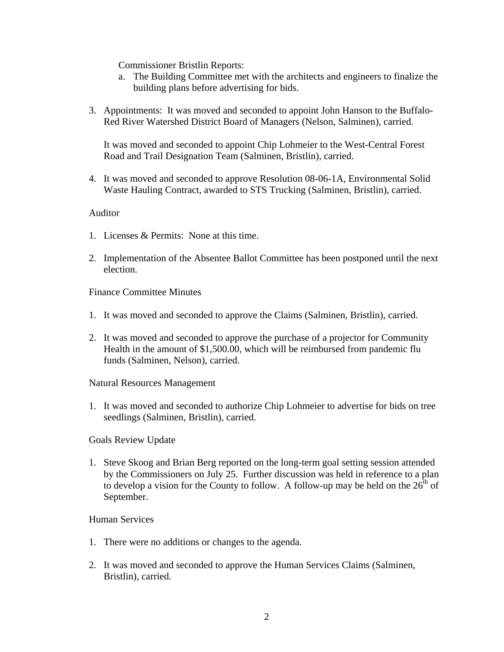Commissioner Bristlin Reports:

- a. The Building Committee met with the architects and engineers to finalize the building plans before advertising for bids.
- 3. Appointments: It was moved and seconded to appoint John Hanson to the Buffalo-Red River Watershed District Board of Managers (Nelson, Salminen), carried.

It was moved and seconded to appoint Chip Lohmeier to the West-Central Forest Road and Trail Designation Team (Salminen, Bristlin), carried.

4. It was moved and seconded to approve Resolution 08-06-1A, Environmental Solid Waste Hauling Contract, awarded to STS Trucking (Salminen, Bristlin), carried.

## Auditor

- 1. Licenses & Permits: None at this time.
- 2. Implementation of the Absentee Ballot Committee has been postponed until the next election.

Finance Committee Minutes

- 1. It was moved and seconded to approve the Claims (Salminen, Bristlin), carried.
- 2. It was moved and seconded to approve the purchase of a projector for Community Health in the amount of \$1,500.00, which will be reimbursed from pandemic flu funds (Salminen, Nelson), carried.

Natural Resources Management

1. It was moved and seconded to authorize Chip Lohmeier to advertise for bids on tree seedlings (Salminen, Bristlin), carried.

Goals Review Update

1. Steve Skoog and Brian Berg reported on the long-term goal setting session attended by the Commissioners on July 25. Further discussion was held in reference to a plan to develop a vision for the County to follow. A follow-up may be held on the  $26<sup>th</sup>$  of September.

#### Human Services

- 1. There were no additions or changes to the agenda.
- 2. It was moved and seconded to approve the Human Services Claims (Salminen, Bristlin), carried.